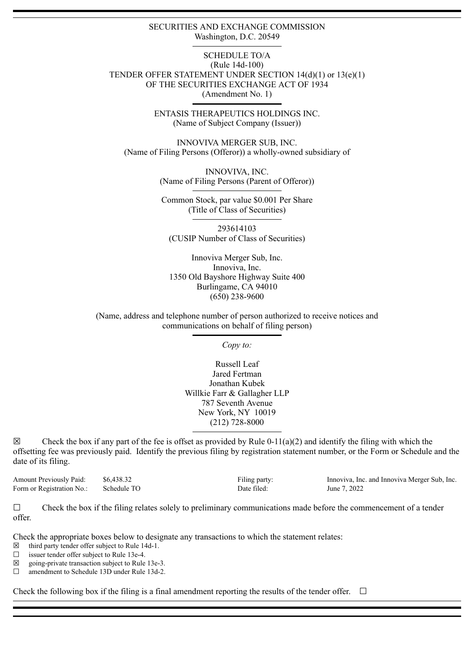### SECURITIES AND EXCHANGE COMMISSION Washington, D.C. 20549

### SCHEDULE TO/A (Rule 14d-100) TENDER OFFER STATEMENT UNDER SECTION 14(d)(1) or 13(e)(1) OF THE SECURITIES EXCHANGE ACT OF 1934 (Amendment No. 1)

ENTASIS THERAPEUTICS HOLDINGS INC. (Name of Subject Company (Issuer))

INNOVIVA MERGER SUB, INC. (Name of Filing Persons (Offeror)) a wholly-owned subsidiary of

> INNOVIVA, INC. (Name of Filing Persons (Parent of Offeror))

Common Stock, par value \$0.001 Per Share (Title of Class of Securities)

293614103 (CUSIP Number of Class of Securities)

Innoviva Merger Sub, Inc. Innoviva, Inc. 1350 Old Bayshore Highway Suite 400 Burlingame, CA 94010 (650) 238-9600

(Name, address and telephone number of person authorized to receive notices and communications on behalf of filing person)

*Copy to:*

Russell Leaf Jared Fertman Jonathan Kubek Willkie Farr & Gallagher LLP 787 Seventh Avenue New York, NY 10019 (212) 728-8000

 $\boxtimes$  Check the box if any part of the fee is offset as provided by Rule 0-11(a)(2) and identify the filing with which the offsetting fee was previously paid. Identify the previous filing by registration statement number, or the Form or Schedule and the date of its filing.

Form or Registration No.: Schedule TO Date filed: June 7, 2022

Amount Previously Paid:  $$6,438.32$  Filing party: Innoviva, Inc. and Innoviva Merger Sub, Inc.<br>Form or Registration No: Schedule TO Date filed: June 7 2022

 $\Box$  Check the box if the filing relates solely to preliminary communications made before the commencement of a tender offer.

Check the appropriate boxes below to designate any transactions to which the statement relates:

 $\boxtimes$  third party tender offer subject to Rule 14d-1.

 $\Box$  issuer tender offer subject to Rule 13e-4.

 $\boxtimes$  going-private transaction subject to Rule 13e-3.

☐ amendment to Schedule 13D under Rule 13d-2.

Check the following box if the filing is a final amendment reporting the results of the tender offer.  $\Box$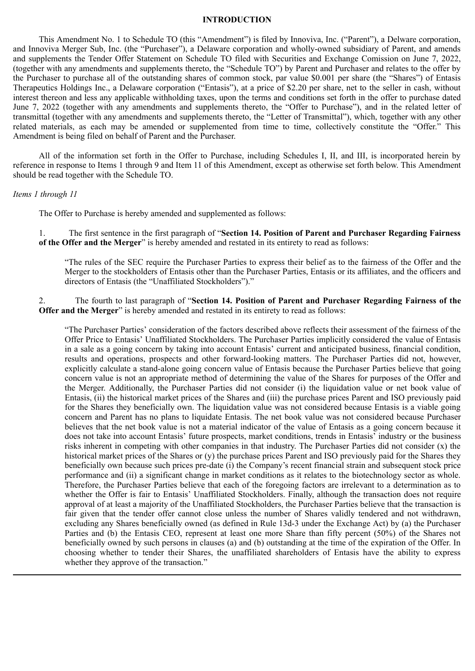### **INTRODUCTION**

This Amendment No. 1 to Schedule TO (this "Amendment") is filed by Innoviva, Inc. ("Parent"), a Delware corporation, and Innoviva Merger Sub, Inc. (the "Purchaser"), a Delaware corporation and wholly-owned subsidiary of Parent, and amends and supplements the Tender Offer Statement on Schedule TO filed with Securities and Exchange Comission on June 7, 2022, (together with any amendments and supplements thereto, the "Schedule TO") by Parent and Purchaser and relates to the offer by the Purchaser to purchase all of the outstanding shares of common stock, par value \$0.001 per share (the "Shares") of Entasis Therapeutics Holdings Inc., a Delaware corporation ("Entasis"), at a price of \$2.20 per share, net to the seller in cash, without interest thereon and less any applicable withholding taxes, upon the terms and conditions set forth in the offer to purchase dated June 7, 2022 (together with any amendments and supplements thereto, the "Offer to Purchase"), and in the related letter of transmittal (together with any amendments and supplements thereto, the "Letter of Transmittal"), which, together with any other related materials, as each may be amended or supplemented from time to time, collectively constitute the "Offer." This Amendment is being filed on behalf of Parent and the Purchaser.

All of the information set forth in the Offer to Purchase, including Schedules I, II, and III, is incorporated herein by reference in response to Items 1 through 9 and Item 11 of this Amendment, except as otherwise set forth below. This Amendment should be read together with the Schedule TO.

#### *Items 1 through 11*

The Offer to Purchase is hereby amended and supplemented as follows:

1. The first sentence in the first paragraph of "**Section 14. Position of Parent and Purchaser Regarding Fairness of the Offer and the Merger**" is hereby amended and restated in its entirety to read as follows:

"The rules of the SEC require the Purchaser Parties to express their belief as to the fairness of the Offer and the Merger to the stockholders of Entasis other than the Purchaser Parties, Entasis or its affiliates, and the officers and directors of Entasis (the "Unaffiliated Stockholders")."

2. The fourth to last paragraph of "**Section 14. Position of Parent and Purchaser Regarding Fairness of the Offer and the Merger**" is hereby amended and restated in its entirety to read as follows:

"The Purchaser Parties' consideration of the factors described above reflects their assessment of the fairness of the Offer Price to Entasis' Unaffiliated Stockholders. The Purchaser Parties implicitly considered the value of Entasis in a sale as a going concern by taking into account Entasis' current and anticipated business, financial condition, results and operations, prospects and other forward-looking matters. The Purchaser Parties did not, however, explicitly calculate a stand-alone going concern value of Entasis because the Purchaser Parties believe that going concern value is not an appropriate method of determining the value of the Shares for purposes of the Offer and the Merger. Additionally, the Purchaser Parties did not consider (i) the liquidation value or net book value of Entasis, (ii) the historical market prices of the Shares and (iii) the purchase prices Parent and ISO previously paid for the Shares they beneficially own. The liquidation value was not considered because Entasis is a viable going concern and Parent has no plans to liquidate Entasis. The net book value was not considered because Purchaser believes that the net book value is not a material indicator of the value of Entasis as a going concern because it does not take into account Entasis' future prospects, market conditions, trends in Entasis' industry or the business risks inherent in competing with other companies in that industry. The Purchaser Parties did not consider (x) the historical market prices of the Shares or (y) the purchase prices Parent and ISO previously paid for the Shares they beneficially own because such prices pre-date (i) the Company's recent financial strain and subsequent stock price performance and (ii) a significant change in market conditions as it relates to the biotechnology sector as whole. Therefore, the Purchaser Parties believe that each of the foregoing factors are irrelevant to a determination as to whether the Offer is fair to Entasis' Unaffiliated Stockholders. Finally, although the transaction does not require approval of at least a majority of the Unaffiliated Stockholders, the Purchaser Parties believe that the transaction is fair given that the tender offer cannot close unless the number of Shares validly tendered and not withdrawn, excluding any Shares beneficially owned (as defined in Rule 13d-3 under the Exchange Act) by (a) the Purchaser Parties and (b) the Entasis CEO, represent at least one more Share than fifty percent (50%) of the Shares not beneficially owned by such persons in clauses (a) and (b) outstanding at the time of the expiration of the Offer. In choosing whether to tender their Shares, the unaffiliated shareholders of Entasis have the ability to express whether they approve of the transaction."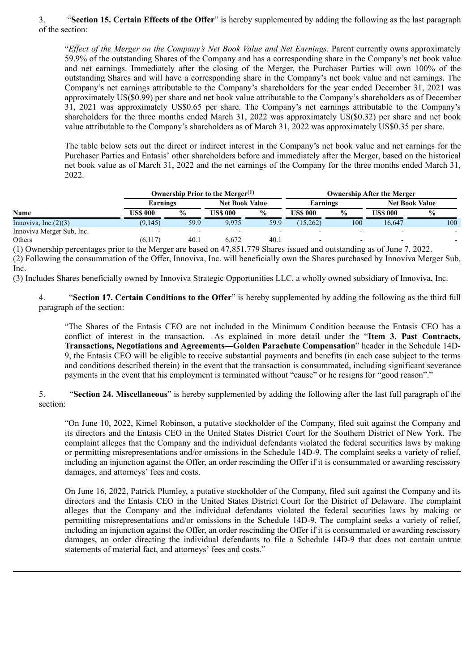3. "**Section 15. Certain Effects of the Offer**" is hereby supplemented by adding the following as the last paragraph of the section:

"*Effect of the Merger on the Company's Net Book Value and Net Earnings*. Parent currently owns approximately 59.9% of the outstanding Shares of the Company and has a corresponding share in the Company's net book value and net earnings. Immediately after the closing of the Merger, the Purchaser Parties will own 100% of the outstanding Shares and will have a corresponding share in the Company's net book value and net earnings. The Company's net earnings attributable to the Company's shareholders for the year ended December 31, 2021 was approximately US(\$0.99) per share and net book value attributable to the Company's shareholders as of December 31, 2021 was approximately US\$0.65 per share. The Company's net earnings attributable to the Company's shareholders for the three months ended March 31, 2022 was approximately US(\$0.32) per share and net book value attributable to the Company's shareholders as of March 31, 2022 was approximately US\$0.35 per share.

The table below sets out the direct or indirect interest in the Company's net book value and net earnings for the Purchaser Parties and Entasis' other shareholders before and immediately after the Merger, based on the historical net book value as of March 31, 2022 and the net earnings of the Company for the three months ended March 31, 2022.

| <b>Name</b>                                                                                                                | Ownership Prior to the Merger <sup>(1)</sup> |               |                       |               | <b>Ownership After the Merger</b> |               |                       |               |
|----------------------------------------------------------------------------------------------------------------------------|----------------------------------------------|---------------|-----------------------|---------------|-----------------------------------|---------------|-----------------------|---------------|
|                                                                                                                            | Earnings                                     |               | <b>Net Book Value</b> |               | Earnings                          |               | <b>Net Book Value</b> |               |
|                                                                                                                            | US\$ 000                                     | $\frac{6}{9}$ | <b>US\$ 000</b>       | $\frac{6}{9}$ | US\$ 000                          | $\frac{6}{9}$ | US\$ 000-             | $\frac{6}{9}$ |
| Innoviva, Inc. $(2)(3)$                                                                                                    | (9,145)                                      | 59.9          | 9.975                 | 59.9          | (15,262)                          | 100           | 16.647                | 100           |
| Innoviva Merger Sub, Inc.                                                                                                  |                                              |               |                       |               |                                   |               |                       |               |
| Others                                                                                                                     | (6,117)                                      | 40.1          | 6.672                 | 40.1          |                                   |               |                       |               |
| (1) Organization conservations and the Measure leased on $47.051.770$ Chance issued and activistic diverse of Line $7.002$ |                                              |               |                       |               |                                   |               |                       |               |

(1) Ownership percentages prior to the Merger are based on 47,851,779 Shares issued and outstanding as of June 7, 2022. (2) Following the consummation of the Offer, Innoviva, Inc. will beneficially own the Shares purchased by Innoviva Merger Sub, Inc.

(3) Includes Shares beneficially owned by Innoviva Strategic Opportunities LLC, a wholly owned subsidiary of Innoviva, Inc.

4. "**Section 17. Certain Conditions to the Offer**" is hereby supplemented by adding the following as the third full paragraph of the section:

"The Shares of the Entasis CEO are not included in the Minimum Condition because the Entasis CEO has a conflict of interest in the transaction. As explained in more detail under the "**Item 3. Past Contracts, Transactions, Negotiations and Agreements—Golden Parachute Compensation**" header in the Schedule 14D-9, the Entasis CEO will be eligible to receive substantial payments and benefits (in each case subject to the terms and conditions described therein) in the event that the transaction is consummated, including significant severance payments in the event that his employment is terminated without "cause" or he resigns for "good reason"."

5. "**Section 24. Miscellaneous**" is hereby supplemented by adding the following after the last full paragraph of the section:

"On June 10, 2022, Kimel Robinson, a putative stockholder of the Company, filed suit against the Company and its directors and the Entasis CEO in the United States District Court for the Southern District of New York. The complaint alleges that the Company and the individual defendants violated the federal securities laws by making or permitting misrepresentations and/or omissions in the Schedule 14D-9. The complaint seeks a variety of relief, including an injunction against the Offer, an order rescinding the Offer if it is consummated or awarding rescissory damages, and attorneys' fees and costs.

On June 16, 2022, Patrick Plumley, a putative stockholder of the Company, filed suit against the Company and its directors and the Entasis CEO in the United States District Court for the District of Delaware. The complaint alleges that the Company and the individual defendants violated the federal securities laws by making or permitting misrepresentations and/or omissions in the Schedule 14D-9. The complaint seeks a variety of relief, including an injunction against the Offer, an order rescinding the Offer if it is consummated or awarding rescissory damages, an order directing the individual defendants to file a Schedule 14D-9 that does not contain untrue statements of material fact, and attorneys' fees and costs."